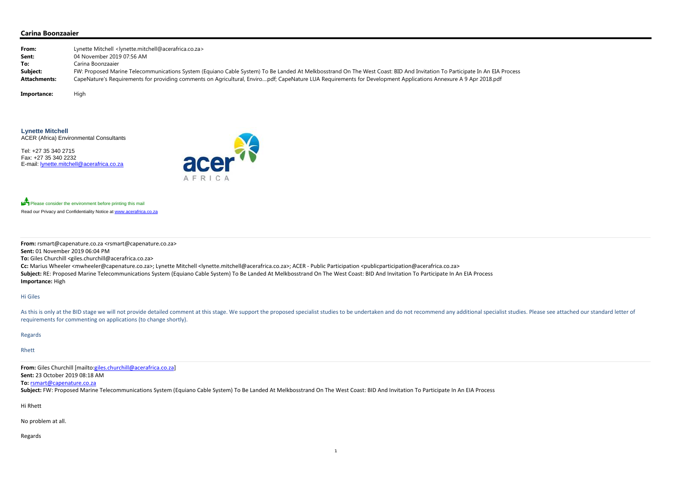### **Carina Boonzaaier**

| From:               | Lynette Mitchell <lynette.mitchell@acerafrica.co.za></lynette.mitchell@acerafrica.co.za>                                                                                  |
|---------------------|---------------------------------------------------------------------------------------------------------------------------------------------------------------------------|
| Sent:               | 04 November 2019 07:56 AM                                                                                                                                                 |
| To:                 | Carina Boonzaaier                                                                                                                                                         |
| Subject:            | FW: Proposed Marine Telecommunications System (Equiano Cable System) To Be Landed At Melkbosstrand On The West Coast: BID And Invitation To Participate In An EIA Process |
| <b>Attachments:</b> | CapeNature's Requirements for providing comments on Agricultural, Enviropdf; CapeNature LUA Requirements for Development Applications Annexure A 9 Apr 2018.pdf           |

Importance: High

Please consider the environment before printing this mail Read our Privacy and Confidentiality Notice at www.acerafrica.co.za

**Lynette Mitchell** ACER (Africa) Environmental Consultants

Tel: +27 35 340 2715 Fax: +27 35 340 2232 E-mail: lynette.mitchell@acerafrica.co.za



As this is only at the BID stage we will not provide detailed comment at this stage. We support the proposed specialist studies to be undertaken and do not recommend any additional specialist studies. Please see attached o requirements for commenting on applications (to change shortly).

**From:** rsmart@capenature.co.za <rsmart@capenature.co.za>

**Sent:** 01 November 2019 06:04 PM

**To:** Giles Churchill <giles.churchill@acerafrica.co.za>

**Cc:** Marius Wheeler <mwheeler@capenature.co.za>; Lynette Mitchell <lynette.mitchell@acerafrica.co.za>; ACER ‐ Public Participation <publicparticipation@acerafrica.co.za> Subject: RE: Proposed Marine Telecommunications System (Equiano Cable System) To Be Landed At Melkbosstrand On The West Coast: BID And Invitation To Participate In An EIA Process **Importance:** High

Hi Giles

#### Regards

Rhett

**From:** Giles Churchill [mailto:giles.churchill@acerafrica.co.za] **Sent:** 23 October 2019 08:18 AM

**To:** rsmart@capenature.co.za

Subject: FW: Proposed Marine Telecommunications System (Equiano Cable System) To Be Landed At Melkbosstrand On The West Coast: BID And Invitation To Participate In An EIA Process

Hi Rhett

No problem at all.

Regards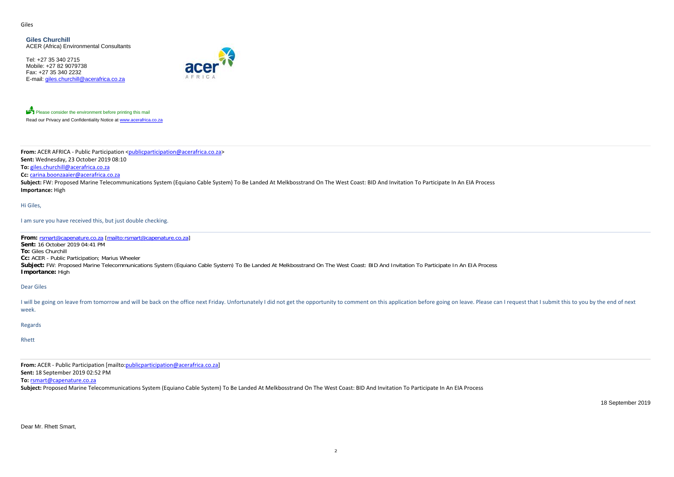Giles

Tel: +27 35 340 2715 Mobile: +27 82 9079738Fax: +27 35 340 2232E-mail: giles.churchill@acerafrica.co.za



Please consider the environment before printing this mail Read our Privacy and Confidentiality Notice at www.acerafrica.co.za

**Giles Churchill**ACER (Africa) Environmental Consultants

Subject: FW: Proposed Marine Telecommunications System (Equiano Cable System) To Be Landed At Melkbosstrand On The West Coast: BID And Invitation To Participate In An EIA Process **Importance:** High

**From:** ACER AFRICA ‐ Public Participation <publicparticipation@acerafrica.co.za> **Sent:** Wednesday, 23 October 2019 08:10 **To:** giles.churchill@acerafrica.co.za

**Cc:** carina.boonzaaier@acerafrica.co.za

I will be going on leave from tomorrow and will be back on the office next Friday. Unfortunately I did not get the opportunity to comment on this application before going on leave. Please can I request that I submit this t week.

Hi Giles,

I am sure you have received this, but just double checking.

**From:** rsmart@capenature.co.za [mailto:rsmart@capenature.co.za] **Sent:** 16 October 2019 04:41 PM **To:** Giles Churchill **Cc:** ACER - Public Participation; Marius Wheeler Subject: FW: Proposed Marine Telecommunications System (Equiano Cable System) To Be Landed At Melkbosstrand On The West Coast: BID And Invitation To Participate In An EIA Process **Importance:** High

Dear Giles

Regards

Rhett

**From:** ACER ‐ Public Participation [mailto:publicparticipation@acerafrica.co.za]

**Sent:** 18 September 2019 02:52 PM

**To:** rsmart@capenature.co.za

**Subject:** Proposed Marine Telecommunications System (Equiano Cable System) To Be Landed At Melkbosstrand On The West Coast: BID And Invitation To Participate In An EIA Process

18 September 2019

Dear Mr. Rhett Smart,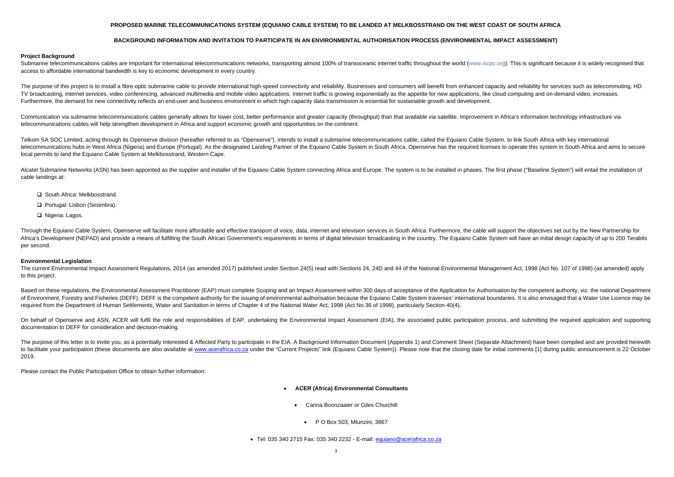# **PROPOSED MARINE TELECOMMUNICATIONS SYSTEM (EQUIANO CABLE SYSTEM) TO BE LANDED AT MELKBOSSTRAND ON THE WEST COAST OF SOUTH AFRICA**

# **BACKGROUND INFORMATION AND INVITATION TO PARTICIPATE IN AN ENVIRONMENTAL AUTHORISATION PROCESS (ENVIRONMENTAL IMPACT ASSESSMENT)**

### **Project Background**

Submarine telecommunications cables are important for international telecommunications networks, transporting almost 100% of transoceanic internet traffic throughout the world (www.iscpc.org). This is significant because i access to affordable international bandwidth is key to economic development in every country.

The purpose of this project is to install a fibre optic submarine cable to provide international high-speed connectivity and reliability. Businesses and consumers will benefit from enhanced capacity and reliability for ser TV broadcasting, internet services, video conferencing, advanced multimedia and mobile video applications. Internet traffic is growing exponentially as the appetite for new applications, like cloud computing and on-demand Furthermore, the demand for new connectivity reflects an end-user and business environment in which high capacity data transmission is essential for sustainable growth and development.

Communication via submarine telecommunications cables generally allows for lower cost, better performance and greater capacity (throughput) than that available via satellite. Improvement in Africa's information technology telecommunications cables will help strengthen development in Africa and support economic growth and opportunities on the continent.

Telkom SA SOC Limited, acting through its Openserve division (hereafter referred to as "Openserve"), intends to install a submarine telecommunications cable, called the Equiano Cable System, to link South Africa with key i telecommunications hubs in West Africa (Nigeria) and Europe (Portugal). As the designated Landing Partner of the Equiano Cable System in South Africa, Openserve has the required licenses to operate this system in South Afr local permits to land the Equiano Cable System at Melkbosstrand, Western Cape.

Alcatel Submarine Networks (ASN) has been appointed as the supplier and installer of the Equiano Cable System connecting Africa and Europe. The system is to be installed in phases. The first phase ("Baseline System") will cable landings at:

- □ South Africa: Melkbosstrand.
- □ Portugal: Lisbon (Sesimbra).
- □ Nigeria: Lagos.

Through the Equiano Cable System, Openserve will facilitate more affordable and effective transport of voice, data, internet and television services in South Africa. Furthermore, the cable will support the objectives set o Africa's Development (NEPAD) and provide a means of fulfilling the South African Government's requirements in terms of digital television broadcasting in the country. The Equiano Cable System will have an initial design ca per second.

The current Environmental Impact Assessment Regulations, 2014 (as amended 2017) published under Section 24(5) read with Sections 24, 24D and 44 of the National Environmental Management Act, 1998 (Act No. 107 of 1998) (as a to this project.

Based on these regulations, the Environmental Assessment Practitioner (EAP) must complete Scoping and an Impact Assessment within 300 days of acceptance of the Application for Authorisation by the competent authority, viz. of Environment, Forestry and Fisheries (DEFF). DEFF is the competent authority for the issuing of environmental authorisation because the Equiano Cable System traverses' international boundaries. It is also envisaged that required from the Department of Human Settlements, Water and Sanitation in terms of Chapter 4 of the National Water Act, 1998 (Act No 36 of 1998), particularly Section 40(4).

On behalf of Openserve and ASN, ACER will fulfil the role and responsibilities of EAP, undertaking the Environmental Impact Assessment (EIA), the associated public participation process, and submitting the required applica documentation to DEFF for consideration and decision-making.

The purpose of this letter is to invite you, as a potentially Interested & Affected Party to participate in the EIA. A Background Information Document (Appendix 1) and Comment Sheet (Separate Attachment) have been compiled to facilitate your participation (these documents are also available at www.acerafrica.co.za under the "Current Projects" link (Equiano Cable System)). Please note that the closing date for initial comments [1] during publ 2019.

- . **ACER (Africa) Environmental Consultants**
	- Carina Boonzaaier or Giles Churchill
		- P O Box 503, Mtunzini, 3867

● Tel: 035 340 2715 Fax: 035 340 2232 - E-mail: <u>equiano@acerafrica.co.za</u>

#### **Environmental Legislation**

Please contact the Public Participation Office to obtain further information: